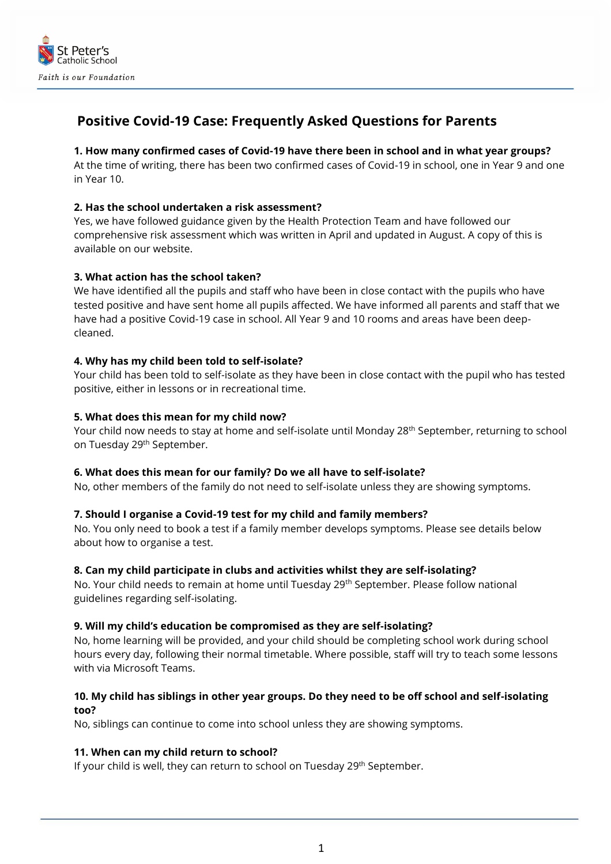

# **Positive Covid-19 Case: Frequently Asked Questions for Parents**

# **1. How many confirmed cases of Covid-19 have there been in school and in what year groups?**

At the time of writing, there has been two confirmed cases of Covid-19 in school, one in Year 9 and one in Year 10.

## **2. Has the school undertaken a risk assessment?**

Yes, we have followed guidance given by the Health Protection Team and have followed our comprehensive risk assessment which was written in April and updated in August. A copy of this is available on our website.

## **3. What action has the school taken?**

We have identified all the pupils and staff who have been in close contact with the pupils who have tested positive and have sent home all pupils affected. We have informed all parents and staff that we have had a positive Covid-19 case in school. All Year 9 and 10 rooms and areas have been deepcleaned.

#### **4. Why has my child been told to self-isolate?**

Your child has been told to self-isolate as they have been in close contact with the pupil who has tested positive, either in lessons or in recreational time.

#### **5. What does this mean for my child now?**

Your child now needs to stay at home and self-isolate until Monday 28<sup>th</sup> September, returning to school on Tuesday 29th September.

#### **6. What does this mean for our family? Do we all have to self-isolate?**

No, other members of the family do not need to self-isolate unless they are showing symptoms.

## **7. Should I organise a Covid-19 test for my child and family members?**

No. You only need to book a test if a family member develops symptoms. Please see details below about how to organise a test.

#### **8. Can my child participate in clubs and activities whilst they are self-isolating?**

No. Your child needs to remain at home until Tuesday 29<sup>th</sup> September. Please follow national guidelines regarding self-isolating.

#### **9. Will my child's education be compromised as they are self-isolating?**

No, home learning will be provided, and your child should be completing school work during school hours every day, following their normal timetable. Where possible, staff will try to teach some lessons with via Microsoft Teams.

# **10. My child has siblings in other year groups. Do they need to be off school and self-isolating too?**

No, siblings can continue to come into school unless they are showing symptoms.

## **11. When can my child return to school?**

If your child is well, they can return to school on Tuesday 29<sup>th</sup> September.